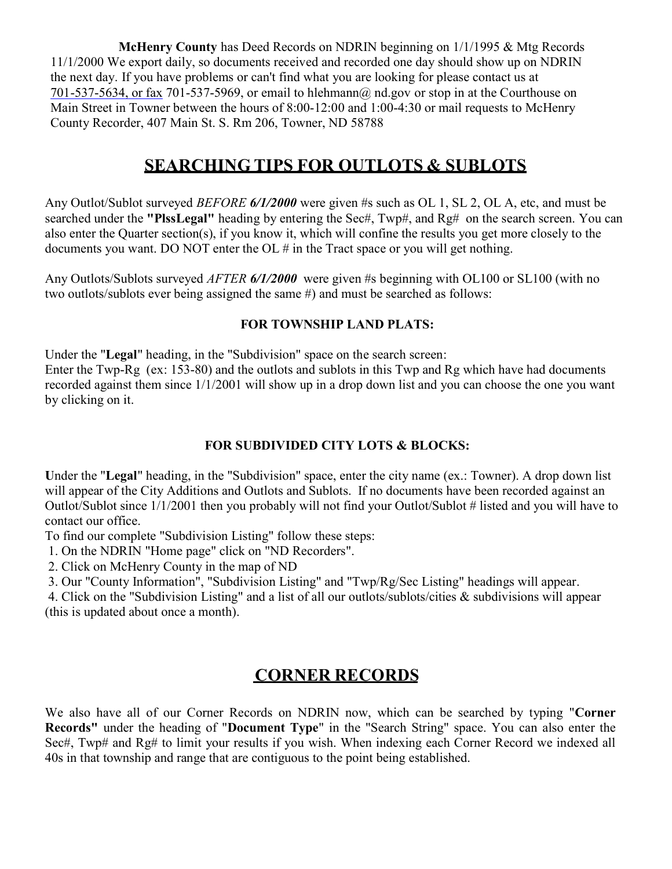McHenry County has Deed Records on NDRIN beginning on 1/1/1995 & Mtg Records 11/1/2000 We export daily, so documents received and recorded one day should show up on NDRIN the next day. If you have problems or can't find what you are looking for please contact us at 701-537-5634, or fax 701-537-5969, or email to hlehmann@ nd.gov or stop in at the Courthouse on Main Street in Towner between the hours of 8:00-12:00 and 1:00-4:30 or mail requests to McHenry County Recorder, 407 Main St. S. Rm 206, Towner, ND 58788

### SEARCHING TIPS FOR OUTLOTS & SUBLOTS

Any Outlot/Sublot surveyed BEFORE 6/1/2000 were given #s such as OL 1, SL 2, OL A, etc, and must be searched under the "PlssLegal" heading by entering the Sec#, Twp#, and Rg# on the search screen. You can also enter the Quarter section(s), if you know it, which will confine the results you get more closely to the documents you want. DO NOT enter the OL # in the Tract space or you will get nothing.

Any Outlots/Sublots surveyed *AFTER 6/1/2000* were given #s beginning with OL100 or SL100 (with no two outlots/sublots ever being assigned the same #) and must be searched as follows:

#### FOR TOWNSHIP LAND PLATS:

Under the "Legal" heading, in the "Subdivision" space on the search screen: Enter the Twp-Rg (ex: 153-80) and the outlots and sublots in this Twp and Rg which have had documents recorded against them since 1/1/2001 will show up in a drop down list and you can choose the one you want by clicking on it.

#### FOR SUBDIVIDED CITY LOTS & BLOCKS:

Under the "Legal" heading, in the "Subdivision" space, enter the city name (ex.: Towner). A drop down list will appear of the City Additions and Outlots and Sublots. If no documents have been recorded against an Outlot/Sublot since 1/1/2001 then you probably will not find your Outlot/Sublot # listed and you will have to contact our office.

To find our complete "Subdivision Listing" follow these steps:

1. On the NDRIN "Home page" click on "ND Recorders".

2. Click on McHenry County in the map of ND

3. Our "County Information", "Subdivision Listing" and "Twp/Rg/Sec Listing" headings will appear.

4. Click on the "Subdivision Listing" and a list of all our outlots/sublots/cities & subdivisions will appear (this is updated about once a month).

### CORNER RECORDS

We also have all of our Corner Records on NDRIN now, which can be searched by typing "Corner Records" under the heading of "Document Type" in the "Search String" space. You can also enter the Sec#, Twp# and Rg# to limit your results if you wish. When indexing each Corner Record we indexed all 40s in that township and range that are contiguous to the point being established.